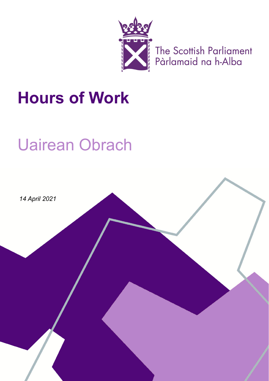

The Scottish Parliament<br>Pàrlamaid na h-Alba

## **Hours of Work**

# Uairean Obrach

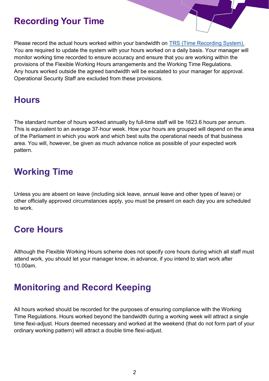#### **Recording Your Time**

Please record the actual hours worked within your bandwidth on [TRS \(Time Recording System\).](https://hosted.softworks.com/spcb/SwFed/Clockwise/Ess.htm) You are required to update the system with your hours worked on a daily basis. Your manager will monitor working time recorded to ensure accuracy and ensure that you are working within the provisions of the Flexible Working Hours arrangements and the Working Time Regulations. Any hours worked outside the agreed bandwidth will be escalated to your manager for approval. Operational Security Staff are excluded from these provisions.

#### **Hours**

The standard number of hours worked annually by full-time staff will be 1623.6 hours per annum. This is equivalent to an average 37-hour week. How your hours are grouped will depend on the area of the Parliament in which you work and which best suits the operational needs of that business area. You will, however, be given as much advance notice as possible of your expected work pattern.

### **Working Time**

Unless you are absent on leave (including sick leave, annual leave and other types of leave) or other officially approved circumstances apply, you must be present on each day you are scheduled to work.

#### **Core Hours**

Although the Flexible Working Hours scheme does not specify core hours during which all staff must attend work, you should let your manager know, in advance, if you intend to start work after 10.00am.

## **Monitoring and Record Keeping**

All hours worked should be recorded for the purposes of ensuring compliance with the Working Time Regulations. Hours worked beyond the bandwidth during a working week will attract a single time flexi-adjust. Hours deemed necessary and worked at the weekend (that do not form part of your ordinary working pattern) will attract a double time flexi-adjust.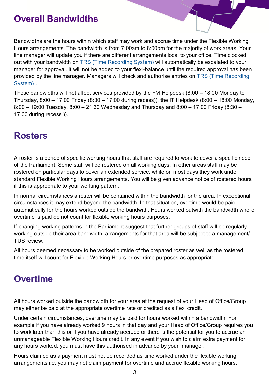#### **Overall Bandwidths**

Bandwidths are the hours within which staff may work and accrue time under the Flexible Working Hours arrangements. The bandwidth is from 7:00am to 8:00pm for the majority of work areas. Your line manager will update you if there are different arrangements local to your office. Time clocked out with your bandwidth on [TRS \(Time Recording System\)](https://hosted.softworks.com/spcb/SwFed/Clockwise/Ess.htm) will automatically be escalated to your manager for approval. It will not be added to your flexi-balance until the required approval has been provided by the line manager. Managers will check and authorise entries on TRS (Time Recording [System\)](https://hosted.softworks.com/spcb/SwFed/Clockwise/Ess.htm) .

These bandwidths will not affect services provided by the FM Helpdesk (8:00 – 18:00 Monday to Thursday, 8:00 – 17:00 Friday (8:30 – 17:00 during recess)), the IT Helpdesk (8:00 – 18:00 Monday, 8:00 – 19:00 Tuesday, 8:00 – 21:30 Wednesday and Thursday and 8:00 – 17:00 Friday (8:30 – 17:00 during recess )).

#### **Rosters**

A roster is a period of specific working hours that staff are required to work to cover a specific need of the Parliament. Some staff will be rostered on all working days. In other areas staff may be rostered on particular days to cover an extended service, while on most days they work under standard Flexible Working Hours arrangements. You will be given advance notice of rostered hours if this is appropriate to your working pattern.

In normal circumstances a roster will be contained within the bandwidth for the area. In exceptional circumstances it may extend beyond the bandwidth. In that situation, overtime would be paid automatically for the hours worked outside the bandwith. Hours worked outwith the bandwidth where overtime is paid do not count for flexible working hours purposes.

If changing working patterns in the Parliament suggest that further groups of staff will be regularly working outside their area bandwidth, arrangements for that area will be subject to a management/ TUS review.

All hours deemed necessary to be worked outside of the prepared roster as well as the rostered time itself will count for Flexible Working Hours or overtime purposes as appropriate.

## **Overtime**

All hours worked outside the bandwidth for your area at the request of your Head of Office/Group may either be paid at the appropriate overtime rate or credited as a flexi credit.

Under certain circumstances, overtime may be paid for hours worked within a bandwidth. For example if you have already worked 9 hours in that day and your Head of Office/Group requires you to work later than this or if you have already accrued or there is the potential for you to accrue an unmanageable Flexible Working Hours credit. In any event if you wish to claim extra payment for any hours worked, you must have this authorised in advance by your manager.

Hours claimed as a payment must not be recorded as time worked under the flexible working arrangements i.e. you may not claim payment for overtime and accrue flexible working hours.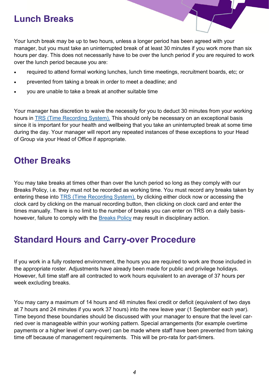#### **Lunch Breaks**

Your lunch break may be up to two hours, unless a longer period has been agreed with your manager, but you must take an uninterrupted break of at least 30 minutes if you work more than six hours per day. This does not necessarily have to be over the lunch period if you are required to work over the lunch period because you are:

- required to attend formal working lunches, lunch time meetings, recruitment boards, etc; or
- prevented from taking a break in order to meet a deadline; and
- you are unable to take a break at another suitable time

Your manager has discretion to waive the necessity for you to deduct 30 minutes from your working hours in [TRS \(Time Recording System\).](https://hosted.softworks.com/spcb/SwFed/Clockwise/Ess.htm) This should only be necessary on an exceptional basis since it is important for your health and wellbeing that you take an uninterrupted break at some time during the day. Your manager will report any repeated instances of these exceptions to your Head of Group via your Head of Office if appropriate.

#### **Other Breaks**

You may take breaks at times other than over the lunch period so long as they comply with our Breaks Policy, i.e. they must not be recorded as working time. You must record any breaks taken by entering these into [TRS \(Time Recording System\),](https://hosted.softworks.com/spcb/SwFed/Clockwise/Ess.htm) by clicking either clock now or accessing the clock card by clicking on the manual recording button, then clicking on clock card and enter the times manually. There is no limit to the number of breaks you can enter on TRS on a daily basishowever, failure to comply with the [Breaks Policy](https://68e964d4-3a85-4c03-89f7-d6c59f31a423.filesusr.com/ugd/0e32dc_448d8e59948b4acda5a4f3838b62adc6.pdf?index=true) may result in disciplinary action.

#### **Standard Hours and Carry-over Procedure**

If you work in a fully rostered environment, the hours you are required to work are those included in the appropriate roster. Adjustments have already been made for public and privilege holidays. However, full time staff are all contracted to work hours equivalent to an average of 37 hours per week excluding breaks.

You may carry a maximum of 14 hours and 48 minutes flexi credit or deficit (equivalent of two days at 7 hours and 24 minutes if you work 37 hours) into the new leave year (1 September each year). Time beyond these boundaries should be discussed with your manager to ensure that the level carried over is manageable within your working pattern. Special arrangements (for example overtime payments or a higher level of carry-over) can be made where staff have been prevented from taking time off because of management requirements. This will be pro-rata for part-timers.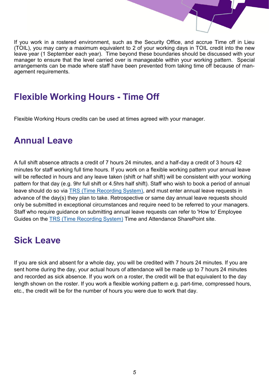

If you work in a rostered environment, such as the Security Office, and accrue Time off in Lieu (TOIL), you may carry a maximum equivalent to 2 of your working days in TOIL credit into the new leave year (1 September each year). Time beyond these boundaries should be discussed with your manager to ensure that the level carried over is manageable within your working pattern. Special arrangements can be made where staff have been prevented from taking time off because of management requirements.

### **Flexible Working Hours - Time Off**

Flexible Working Hours credits can be used at times agreed with your manager.

#### **Annual Leave**

A full shift absence attracts a credit of 7 hours 24 minutes, and a half-day a credit of 3 hours 42 minutes for staff working full time hours. If you work on a flexible working pattern your annual leave will be reflected in hours and any leave taken (shift or half shift) will be consistent with your working pattern for that day (e.g. 9hr full shift or 4.5hrs half shift). Staff who wish to book a period of annual leave should do so via [TRS \(Time Recording System\),](https://hosted.softworks.com/spcb/SwFed/Clockwise/Ess.htm) and must enter annual leave requests in advance of the day(s) they plan to take. Retrospective or same day annual leave requests should only be submitted in exceptional circumstances and require need to be referred to your managers. Staff who require guidance on submitting annual leave requests can refer to 'How to' Employee Guides on the [TRS \(Time Recording System\)](https://hosted.softworks.com/spcb/SwFed/Clockwise/Ess.htm) Time and Attendance SharePoint site.

## **Sick Leave**

If you are sick and absent for a whole day, you will be credited with 7 hours 24 minutes. If you are sent home during the day, your actual hours of attendance will be made up to 7 hours 24 minutes and recorded as sick absence. If you work on a roster, the credit will be that equivalent to the day length shown on the roster. If you work a flexible working pattern e.g. part-time, compressed hours, etc., the credit will be for the number of hours you were due to work that day.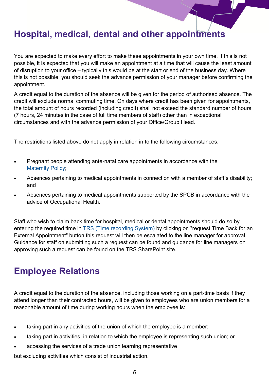## **Hospital, medical, dental and other appointments**

You are expected to make every effort to make these appointments in your own time. If this is not possible, it is expected that you will make an appointment at a time that will cause the least amount of disruption to your office – typically this would be at the start or end of the business day. Where this is not possible, you should seek the advance permission of your manager before confirming the appointment.

A credit equal to the duration of the absence will be given for the period of authorised absence. The credit will exclude normal commuting time. On days where credit has been given for appointments, the total amount of hours recorded (including credit) shall not exceed the standard number of hours (7 hours, 24 minutes in the case of full time members of staff) other than in exceptional circumstances and with the advance permission of your Office/Group Head.

The restrictions listed above do not apply in relation in to the following circumstances:

- Pregnant people attending ante-natal care appointments in accordance with the [Maternity Policy;](https://www.spstaffhandbook.com/being-a-parent)
- Absences pertaining to medical appointments in connection with a member of staff's disability; and
- Absences pertaining to medical appointments supported by the SPCB in accordance with the advice of Occupational Health.

Staff who wish to claim back time for hospital, medical or dental appointments should do so by entering the required time in **[TRS \(Time recording System\)](https://hosted.softworks.com/spcb/SwFed/Clockwise/Ess.htm)** by clicking on "request Time Back for an External Appointment" button this request will then be escalated to the line manager for approval. Guidance for staff on submitting such a request can be found and guidance for line managers on approving such a request can be found on the TRS SharePoint site.

## **Employee Relations**

A credit equal to the duration of the absence, including those working on a part-time basis if they attend longer than their contracted hours, will be given to employees who are union members for a reasonable amount of time during working hours when the employee is:

- taking part in any activities of the union of which the employee is a member;
- taking part in activities, in relation to which the employee is representing such union; or
- accessing the services of a trade union learning representative

but excluding activities which consist of industrial action.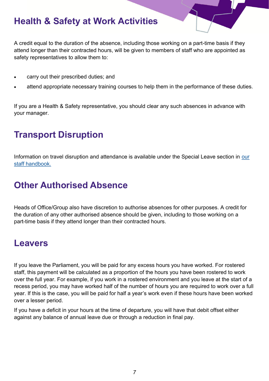## **Health & Safety at Work Activities**

A credit equal to the duration of the absence, including those working on a part-time basis if they attend longer than their contracted hours, will be given to members of staff who are appointed as safety representatives to allow them to:

- carry out their prescribed duties; and
- attend appropriate necessary training courses to help them in the performance of these duties.

If you are a Health & Safety representative, you should clear any such absences in advance with your manager.

## **Transport Disruption**

Information on travel disruption and attendance is available under the Special Leave section in [our](https://www.spstaffhandbook.com/special-leave)  [staff handbook.](https://www.spstaffhandbook.com/special-leave)

## **Other Authorised Absence**

Heads of Office/Group also have discretion to authorise absences for other purposes. A credit for the duration of any other authorised absence should be given, including to those working on a part-time basis if they attend longer than their contracted hours.

#### **Leavers**

If you leave the Parliament, you will be paid for any excess hours you have worked. For rostered staff, this payment will be calculated as a proportion of the hours you have been rostered to work over the full year. For example, if you work in a rostered environment and you leave at the start of a recess period, you may have worked half of the number of hours you are required to work over a full year. If this is the case, you will be paid for half a year's work even if these hours have been worked over a lesser period.

If you have a deficit in your hours at the time of departure, you will have that debit offset either against any balance of annual leave due or through a reduction in final pay.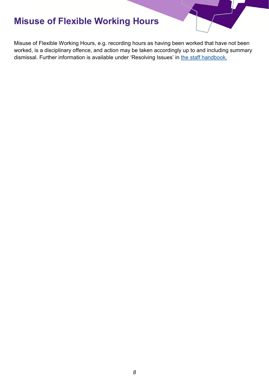## **Misuse of Flexible Working Hours**

Misuse of Flexible Working Hours, e.g. recording hours as having been worked that have not been worked, is a disciplinary offence, and action may be taken accordingly up to and including summary dismissal. Further information is available under 'Resolving Issues' in [the staff handbook.](https://www.spstaffhandbook.com/resolving-issues)